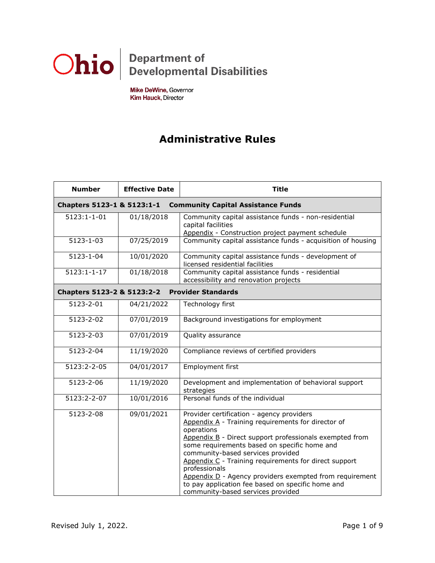

Mike DeWine, Governor Kim Hauck, Director

## **Administrative Rules**

| <b>Number</b>                                           | <b>Effective Date</b>                                                   | <b>Title</b>                                                                                                                                                                                                                                                                                                                                                                                                                                                                                 |  |
|---------------------------------------------------------|-------------------------------------------------------------------------|----------------------------------------------------------------------------------------------------------------------------------------------------------------------------------------------------------------------------------------------------------------------------------------------------------------------------------------------------------------------------------------------------------------------------------------------------------------------------------------------|--|
|                                                         | Chapters 5123-1 & 5123:1-1<br><b>Community Capital Assistance Funds</b> |                                                                                                                                                                                                                                                                                                                                                                                                                                                                                              |  |
| $5123:1 - 1 - 01$                                       | 01/18/2018                                                              | Community capital assistance funds - non-residential<br>capital facilities<br>Appendix - Construction project payment schedule                                                                                                                                                                                                                                                                                                                                                               |  |
| 5123-1-03                                               | 07/25/2019                                                              | Community capital assistance funds - acquisition of housing                                                                                                                                                                                                                                                                                                                                                                                                                                  |  |
| 5123-1-04                                               | 10/01/2020                                                              | Community capital assistance funds - development of<br>licensed residential facilities                                                                                                                                                                                                                                                                                                                                                                                                       |  |
| $5123:1 - 1 - 17$                                       | 01/18/2018                                                              | Community capital assistance funds - residential<br>accessibility and renovation projects                                                                                                                                                                                                                                                                                                                                                                                                    |  |
| <b>Provider Standards</b><br>Chapters 5123-2 & 5123:2-2 |                                                                         |                                                                                                                                                                                                                                                                                                                                                                                                                                                                                              |  |
| 5123-2-01                                               | 04/21/2022                                                              | Technology first                                                                                                                                                                                                                                                                                                                                                                                                                                                                             |  |
| $5123 - 2 - 02$                                         | 07/01/2019                                                              | Background investigations for employment                                                                                                                                                                                                                                                                                                                                                                                                                                                     |  |
| $5123 - 2 - 03$                                         | 07/01/2019                                                              | Quality assurance                                                                                                                                                                                                                                                                                                                                                                                                                                                                            |  |
| 5123-2-04                                               | 11/19/2020                                                              | Compliance reviews of certified providers                                                                                                                                                                                                                                                                                                                                                                                                                                                    |  |
| 5123:2-2-05                                             | 04/01/2017                                                              | Employment first                                                                                                                                                                                                                                                                                                                                                                                                                                                                             |  |
| 5123-2-06                                               | 11/19/2020                                                              | Development and implementation of behavioral support<br>strategies                                                                                                                                                                                                                                                                                                                                                                                                                           |  |
| 5123:2-2-07                                             | 10/01/2016                                                              | Personal funds of the individual                                                                                                                                                                                                                                                                                                                                                                                                                                                             |  |
| 5123-2-08                                               | 09/01/2021                                                              | Provider certification - agency providers<br>Appendix A - Training requirements for director of<br>operations<br>Appendix B - Direct support professionals exempted from<br>some requirements based on specific home and<br>community-based services provided<br>Appendix C - Training requirements for direct support<br>professionals<br>Appendix D - Agency providers exempted from requirement<br>to pay application fee based on specific home and<br>community-based services provided |  |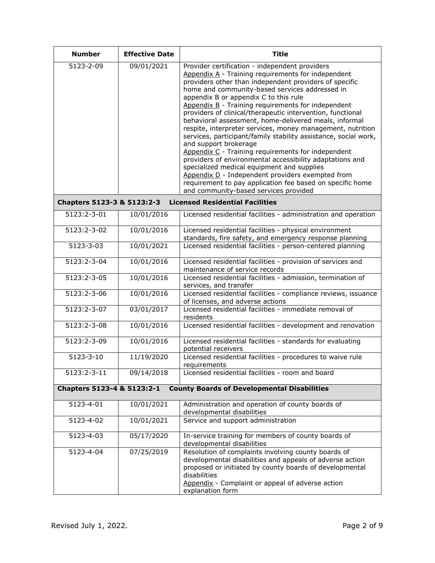| <b>Number</b>                                                                    | <b>Effective Date</b> | <b>Title</b>                                                                                                                                                                                                                                                                                                                                                                                                                                                                                                                                                                                                                                                                                                                                                                                                                                                                                                               |  |
|----------------------------------------------------------------------------------|-----------------------|----------------------------------------------------------------------------------------------------------------------------------------------------------------------------------------------------------------------------------------------------------------------------------------------------------------------------------------------------------------------------------------------------------------------------------------------------------------------------------------------------------------------------------------------------------------------------------------------------------------------------------------------------------------------------------------------------------------------------------------------------------------------------------------------------------------------------------------------------------------------------------------------------------------------------|--|
| 5123-2-09                                                                        | 09/01/2021            | Provider certification - independent providers<br>Appendix A - Training requirements for independent<br>providers other than independent providers of specific<br>home and community-based services addressed in<br>appendix B or appendix C to this rule<br>Appendix B - Training requirements for independent<br>providers of clinical/therapeutic intervention, functional<br>behavioral assessment, home-delivered meals, informal<br>respite, interpreter services, money management, nutrition<br>services, participant/family stability assistance, social work,<br>and support brokerage<br>Appendix C - Training requirements for independent<br>providers of environmental accessibility adaptations and<br>specialized medical equipment and supplies<br>Appendix D - Independent providers exempted from<br>requirement to pay application fee based on specific home<br>and community-based services provided |  |
| Chapters 5123-3 & 5123:2-3                                                       |                       | <b>Licensed Residential Facilities</b>                                                                                                                                                                                                                                                                                                                                                                                                                                                                                                                                                                                                                                                                                                                                                                                                                                                                                     |  |
| 5123:2-3-01                                                                      | 10/01/2016            | Licensed residential facilities - administration and operation                                                                                                                                                                                                                                                                                                                                                                                                                                                                                                                                                                                                                                                                                                                                                                                                                                                             |  |
| 5123:2-3-02                                                                      | 10/01/2016            | Licensed residential facilities - physical environment<br>standards, fire safety, and emergency response planning                                                                                                                                                                                                                                                                                                                                                                                                                                                                                                                                                                                                                                                                                                                                                                                                          |  |
| 5123-3-03                                                                        | 10/01/2021            | Licensed residential facilities - person-centered planning                                                                                                                                                                                                                                                                                                                                                                                                                                                                                                                                                                                                                                                                                                                                                                                                                                                                 |  |
| 5123:2-3-04                                                                      | 10/01/2016            | Licensed residential facilities - provision of services and<br>maintenance of service records                                                                                                                                                                                                                                                                                                                                                                                                                                                                                                                                                                                                                                                                                                                                                                                                                              |  |
| 5123:2-3-05                                                                      | 10/01/2016            | Licensed residential facilities - admission, termination of<br>services, and transfer                                                                                                                                                                                                                                                                                                                                                                                                                                                                                                                                                                                                                                                                                                                                                                                                                                      |  |
| 5123:2-3-06                                                                      | 10/01/2016            | Licensed residential facilities - compliance reviews, issuance<br>of licenses, and adverse actions                                                                                                                                                                                                                                                                                                                                                                                                                                                                                                                                                                                                                                                                                                                                                                                                                         |  |
| 5123:2-3-07                                                                      | 03/01/2017            | Licensed residential facilities - immediate removal of<br>residents                                                                                                                                                                                                                                                                                                                                                                                                                                                                                                                                                                                                                                                                                                                                                                                                                                                        |  |
| 5123:2-3-08                                                                      | 10/01/2016            | Licensed residential facilities - development and renovation                                                                                                                                                                                                                                                                                                                                                                                                                                                                                                                                                                                                                                                                                                                                                                                                                                                               |  |
| 5123:2-3-09                                                                      | 10/01/2016            | Licensed residential facilities - standards for evaluating<br>potential receivers                                                                                                                                                                                                                                                                                                                                                                                                                                                                                                                                                                                                                                                                                                                                                                                                                                          |  |
| 5123-3-10                                                                        | 11/19/2020            | Licensed residential facilities - procedures to waive rule<br>requirements                                                                                                                                                                                                                                                                                                                                                                                                                                                                                                                                                                                                                                                                                                                                                                                                                                                 |  |
| 5123:2-3-11                                                                      | 09/14/2018            | Licensed residential facilities - room and board                                                                                                                                                                                                                                                                                                                                                                                                                                                                                                                                                                                                                                                                                                                                                                                                                                                                           |  |
| Chapters 5123-4 & 5123:2-1<br><b>County Boards of Developmental Disabilities</b> |                       |                                                                                                                                                                                                                                                                                                                                                                                                                                                                                                                                                                                                                                                                                                                                                                                                                                                                                                                            |  |
| 5123-4-01                                                                        | 10/01/2021            | Administration and operation of county boards of<br>developmental disabilities                                                                                                                                                                                                                                                                                                                                                                                                                                                                                                                                                                                                                                                                                                                                                                                                                                             |  |
| $5123 - 4 - 02$                                                                  | 10/01/2021            | Service and support administration                                                                                                                                                                                                                                                                                                                                                                                                                                                                                                                                                                                                                                                                                                                                                                                                                                                                                         |  |
| 5123-4-03                                                                        | 05/17/2020            | In-service training for members of county boards of<br>developmental disabilities                                                                                                                                                                                                                                                                                                                                                                                                                                                                                                                                                                                                                                                                                                                                                                                                                                          |  |
| 5123-4-04                                                                        | 07/25/2019            | Resolution of complaints involving county boards of<br>developmental disabilities and appeals of adverse action<br>proposed or initiated by county boards of developmental<br>disabilities<br>Appendix - Complaint or appeal of adverse action<br>explanation form                                                                                                                                                                                                                                                                                                                                                                                                                                                                                                                                                                                                                                                         |  |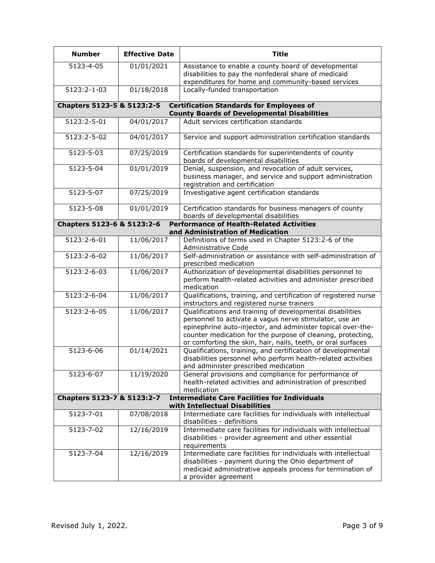| <b>Number</b>                                                                                                     | <b>Effective Date</b> | <b>Title</b>                                                                                                                                                                                                                                                                                                      |
|-------------------------------------------------------------------------------------------------------------------|-----------------------|-------------------------------------------------------------------------------------------------------------------------------------------------------------------------------------------------------------------------------------------------------------------------------------------------------------------|
| 5123-4-05                                                                                                         | 01/01/2021            | Assistance to enable a county board of developmental<br>disabilities to pay the nonfederal share of medicaid<br>expenditures for home and community-based services                                                                                                                                                |
| 5123:2-1-03                                                                                                       | 01/18/2018            | Locally-funded transportation                                                                                                                                                                                                                                                                                     |
| Chapters 5123-5 & 5123:2-5                                                                                        |                       | <b>Certification Standards for Employees of</b><br><b>County Boards of Developmental Disabilities</b>                                                                                                                                                                                                             |
| 5123:2-5-01                                                                                                       | 04/01/2017            | Adult services certification standards                                                                                                                                                                                                                                                                            |
| 5123:2-5-02                                                                                                       | 04/01/2017            | Service and support administration certification standards                                                                                                                                                                                                                                                        |
| 5123-5-03                                                                                                         | 07/25/2019            | Certification standards for superintendents of county<br>boards of developmental disabilities                                                                                                                                                                                                                     |
| 5123-5-04                                                                                                         | 01/01/2019            | Denial, suspension, and revocation of adult services,<br>business manager, and service and support administration<br>registration and certification                                                                                                                                                               |
| 5123-5-07                                                                                                         | 07/25/2019            | Investigative agent certification standards                                                                                                                                                                                                                                                                       |
| 5123-5-08                                                                                                         | 01/01/2019            | Certification standards for business managers of county<br>boards of developmental disabilities                                                                                                                                                                                                                   |
| <b>Performance of Health-Related Activities</b><br>Chapters 5123-6 & 5123:2-6<br>and Administration of Medication |                       |                                                                                                                                                                                                                                                                                                                   |
| 5123:2-6-01                                                                                                       | 11/06/2017            | Definitions of terms used in Chapter 5123:2-6 of the<br>Administrative Code                                                                                                                                                                                                                                       |
| 5123:2-6-02                                                                                                       | 11/06/2017            | Self-administration or assistance with self-administration of<br>prescribed medication                                                                                                                                                                                                                            |
| 5123:2-6-03                                                                                                       | 11/06/2017            | Authorization of developmental disabilities personnel to<br>perform health-related activities and administer prescribed<br>medication                                                                                                                                                                             |
| 5123:2-6-04                                                                                                       | 11/06/2017            | Qualifications, training, and certification of registered nurse<br>instructors and registered nurse trainers                                                                                                                                                                                                      |
| 5123:2-6-05                                                                                                       | 11/06/2017            | Qualifications and training of developmental disabilities<br>personnel to activate a vagus nerve stimulator, use an<br>epinephrine auto-injector, and administer topical over-the-<br>counter medication for the purpose of cleaning, protecting,<br>or comforting the skin, hair, nails, teeth, or oral surfaces |
| 5123-6-06                                                                                                         | 01/14/2021            | Qualifications, training, and certification of developmental<br>disabilities personnel who perform health-related activities<br>and administer prescribed medication                                                                                                                                              |
| 5123-6-07                                                                                                         | 11/19/2020            | General provisions and compliance for performance of<br>health-related activities and administration of prescribed<br>medication                                                                                                                                                                                  |
| Chapters 5123-7 & 5123:2-7                                                                                        |                       | <b>Intermediate Care Facilities for Individuals</b><br>with Intellectual Disabilities                                                                                                                                                                                                                             |
| 5123-7-01                                                                                                         | 07/08/2018            | Intermediate care facilities for individuals with intellectual<br>disabilities - definitions                                                                                                                                                                                                                      |
| 5123-7-02                                                                                                         | 12/16/2019            | Intermediate care facilities for individuals with intellectual<br>disabilities - provider agreement and other essential<br>requirements                                                                                                                                                                           |
| 5123-7-04                                                                                                         | 12/16/2019            | Intermediate care facilities for individuals with intellectual<br>disabilities - payment during the Ohio department of<br>medicaid administrative appeals process for termination of<br>a provider agreement                                                                                                      |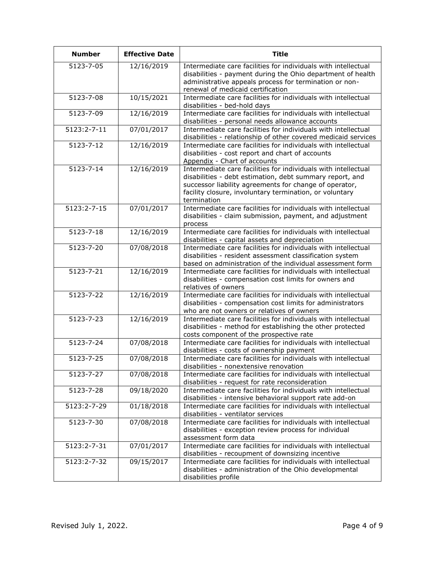| <b>Number</b>              | <b>Effective Date</b> | <b>Title</b>                                                                                                                                                                                                                                                   |
|----------------------------|-----------------------|----------------------------------------------------------------------------------------------------------------------------------------------------------------------------------------------------------------------------------------------------------------|
| $\overline{5123 - 7 - 05}$ | 12/16/2019            | Intermediate care facilities for individuals with intellectual<br>disabilities - payment during the Ohio department of health<br>administrative appeals process for termination or non-<br>renewal of medicaid certification                                   |
| 5123-7-08                  | 10/15/2021            | Intermediate care facilities for individuals with intellectual<br>disabilities - bed-hold days                                                                                                                                                                 |
| 5123-7-09                  | 12/16/2019            | Intermediate care facilities for individuals with intellectual<br>disabilities - personal needs allowance accounts                                                                                                                                             |
| 5123:2-7-11                | 07/01/2017            | Intermediate care facilities for individuals with intellectual<br>disabilities - relationship of other covered medicaid services                                                                                                                               |
| 5123-7-12                  | 12/16/2019            | Intermediate care facilities for individuals with intellectual<br>disabilities - cost report and chart of accounts<br>Appendix - Chart of accounts                                                                                                             |
| 5123-7-14                  | 12/16/2019            | Intermediate care facilities for individuals with intellectual<br>disabilities - debt estimation, debt summary report, and<br>successor liability agreements for change of operator,<br>facility closure, involuntary termination, or voluntary<br>termination |
| 5123:2-7-15                | 07/01/2017            | Intermediate care facilities for individuals with intellectual<br>disabilities - claim submission, payment, and adjustment<br>process                                                                                                                          |
| 5123-7-18                  | 12/16/2019            | Intermediate care facilities for individuals with intellectual<br>disabilities - capital assets and depreciation                                                                                                                                               |
| 5123-7-20                  | 07/08/2018            | Intermediate care facilities for individuals with intellectual<br>disabilities - resident assessment classification system<br>based on administration of the individual assessment form                                                                        |
| 5123-7-21                  | 12/16/2019            | Intermediate care facilities for individuals with intellectual<br>disabilities - compensation cost limits for owners and<br>relatives of owners                                                                                                                |
| $5123 - 7 - 22$            | 12/16/2019            | Intermediate care facilities for individuals with intellectual<br>disabilities - compensation cost limits for administrators<br>who are not owners or relatives of owners                                                                                      |
| 5123-7-23                  | 12/16/2019            | Intermediate care facilities for individuals with intellectual<br>disabilities - method for establishing the other protected<br>costs component of the prospective rate                                                                                        |
| 5123-7-24                  | 07/08/2018            | Intermediate care facilities for individuals with intellectual<br>disabilities - costs of ownership payment                                                                                                                                                    |
| 5123-7-25                  | 07/08/2018            | Intermediate care facilities for individuals with intellectual<br>disabilities - nonextensive renovation                                                                                                                                                       |
| 5123-7-27                  | 07/08/2018            | Intermediate care facilities for individuals with intellectual<br>disabilities - request for rate reconsideration                                                                                                                                              |
| 5123-7-28                  | 09/18/2020            | Intermediate care facilities for individuals with intellectual<br>disabilities - intensive behavioral support rate add-on                                                                                                                                      |
| 5123:2-7-29                | 01/18/2018            | Intermediate care facilities for individuals with intellectual<br>disabilities - ventilator services                                                                                                                                                           |
| 5123-7-30                  | 07/08/2018            | Intermediate care facilities for individuals with intellectual<br>disabilities - exception review process for individual<br>assessment form data                                                                                                               |
| 5123:2-7-31                | 07/01/2017            | Intermediate care facilities for individuals with intellectual<br>disabilities - recoupment of downsizing incentive                                                                                                                                            |
| 5123:2-7-32                | 09/15/2017            | Intermediate care facilities for individuals with intellectual<br>disabilities - administration of the Ohio developmental<br>disabilities profile                                                                                                              |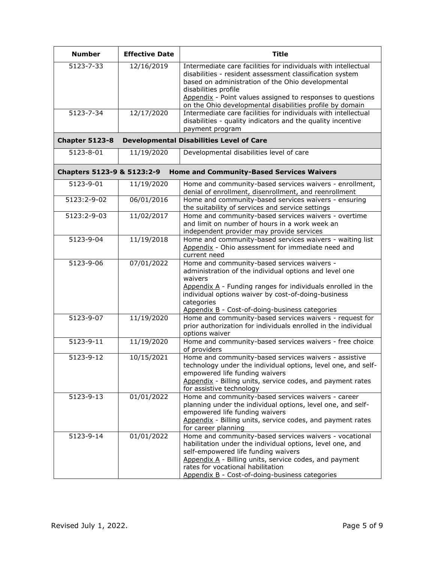| <b>Number</b>              | <b>Effective Date</b> | <b>Title</b>                                                                                                                                                                                                                                                                                                |
|----------------------------|-----------------------|-------------------------------------------------------------------------------------------------------------------------------------------------------------------------------------------------------------------------------------------------------------------------------------------------------------|
| 5123-7-33                  | 12/16/2019            | Intermediate care facilities for individuals with intellectual<br>disabilities - resident assessment classification system<br>based on administration of the Ohio developmental<br>disabilities profile<br>Appendix - Point values assigned to responses to questions                                       |
|                            |                       | on the Ohio developmental disabilities profile by domain                                                                                                                                                                                                                                                    |
| 5123-7-34                  | 12/17/2020            | Intermediate care facilities for individuals with intellectual<br>disabilities - quality indicators and the quality incentive<br>payment program                                                                                                                                                            |
| <b>Chapter 5123-8</b>      |                       | <b>Developmental Disabilities Level of Care</b>                                                                                                                                                                                                                                                             |
| 5123-8-01                  | 11/19/2020            | Developmental disabilities level of care                                                                                                                                                                                                                                                                    |
| Chapters 5123-9 & 5123:2-9 |                       | <b>Home and Community-Based Services Waivers</b>                                                                                                                                                                                                                                                            |
| 5123-9-01                  | 11/19/2020            | Home and community-based services waivers - enrollment,<br>denial of enrollment, disenrollment, and reenrollment                                                                                                                                                                                            |
| 5123:2-9-02                | 06/01/2016            | Home and community-based services waivers - ensuring<br>the suitability of services and service settings                                                                                                                                                                                                    |
| 5123:2-9-03                | 11/02/2017            | Home and community-based services waivers - overtime<br>and limit on number of hours in a work week an<br>independent provider may provide services                                                                                                                                                         |
| 5123-9-04                  | 11/19/2018            | Home and community-based services waivers - waiting list<br>Appendix - Ohio assessment for immediate need and<br>current need                                                                                                                                                                               |
| 5123-9-06                  | 07/01/2022            | Home and community-based services waivers -<br>administration of the individual options and level one<br>waivers<br>Appendix $A$ - Funding ranges for individuals enrolled in the<br>individual options waiver by cost-of-doing-business<br>categories<br>Appendix B - Cost-of-doing-business categories    |
| 5123-9-07                  | 11/19/2020            | Home and community-based services waivers - request for<br>prior authorization for individuals enrolled in the individual<br>options waiver                                                                                                                                                                 |
| 5123-9-11                  | 11/19/2020            | Home and community-based services waivers - free choice<br>of providers                                                                                                                                                                                                                                     |
| 5123-9-12                  | 10/15/2021            | Home and community-based services waivers - assistive<br>technology under the individual options, level one, and self-<br>empowered life funding waivers<br>Appendix - Billing units, service codes, and payment rates<br>for assistive technology                                                          |
| 5123-9-13                  | 01/01/2022            | Home and community-based services waivers - career<br>planning under the individual options, level one, and self-<br>empowered life funding waivers<br>Appendix - Billing units, service codes, and payment rates<br>for career planning                                                                    |
| 5123-9-14                  | 01/01/2022            | Home and community-based services waivers - vocational<br>habilitation under the individual options, level one, and<br>self-empowered life funding waivers<br>Appendix A - Billing units, service codes, and payment<br>rates for vocational habilitation<br>Appendix B - Cost-of-doing-business categories |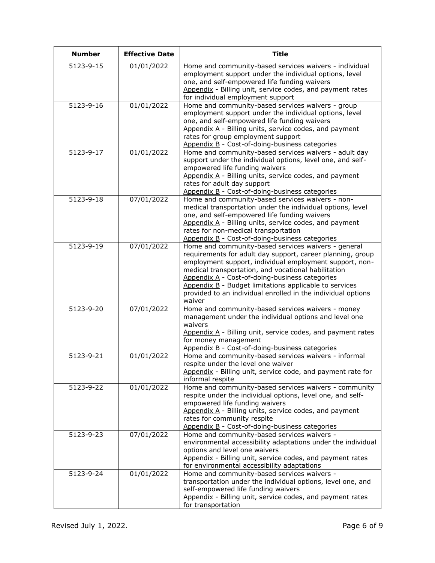| <b>Number</b> | <b>Effective Date</b> | <b>Title</b>                                                                                                                                                                                                                                                                                                                                                                                                              |
|---------------|-----------------------|---------------------------------------------------------------------------------------------------------------------------------------------------------------------------------------------------------------------------------------------------------------------------------------------------------------------------------------------------------------------------------------------------------------------------|
| 5123-9-15     | 01/01/2022            | Home and community-based services waivers - individual<br>employment support under the individual options, level<br>one, and self-empowered life funding waivers<br>Appendix - Billing unit, service codes, and payment rates<br>for individual employment support                                                                                                                                                        |
| 5123-9-16     | 01/01/2022            | Home and community-based services waivers - group<br>employment support under the individual options, level<br>one, and self-empowered life funding waivers<br>Appendix A - Billing units, service codes, and payment<br>rates for group employment support<br>Appendix B - Cost-of-doing-business categories                                                                                                             |
| 5123-9-17     | 01/01/2022            | Home and community-based services waivers - adult day<br>support under the individual options, level one, and self-<br>empowered life funding waivers<br>Appendix A - Billing units, service codes, and payment<br>rates for adult day support<br>Appendix B - Cost-of-doing-business categories                                                                                                                          |
| 5123-9-18     | 07/01/2022            | Home and community-based services waivers - non-<br>medical transportation under the individual options, level<br>one, and self-empowered life funding waivers<br>Appendix A - Billing units, service codes, and payment<br>rates for non-medical transportation<br>Appendix B - Cost-of-doing-business categories                                                                                                        |
| 5123-9-19     | 07/01/2022            | Home and community-based services waivers - general<br>requirements for adult day support, career planning, group<br>employment support, individual employment support, non-<br>medical transportation, and vocational habilitation<br>Appendix A - Cost-of-doing-business categories<br>Appendix B - Budget limitations applicable to services<br>provided to an individual enrolled in the individual options<br>waiver |
| 5123-9-20     | 07/01/2022            | Home and community-based services waivers - money<br>management under the individual options and level one<br>waivers<br>Appendix A - Billing unit, service codes, and payment rates<br>for money management<br>Appendix B - Cost-of-doing-business categories                                                                                                                                                            |
| 5123-9-21     | 01/01/2022            | Home and community-based services waivers - informal<br>respite under the level one waiver<br>Appendix - Billing unit, service code, and payment rate for<br>informal respite                                                                                                                                                                                                                                             |
| 5123-9-22     | 01/01/2022            | Home and community-based services waivers - community<br>respite under the individual options, level one, and self-<br>empowered life funding waivers<br>Appendix A - Billing units, service codes, and payment<br>rates for community respite<br>Appendix B - Cost-of-doing-business categories                                                                                                                          |
| 5123-9-23     | 07/01/2022            | Home and community-based services waivers -<br>environmental accessibility adaptations under the individual<br>options and level one waivers<br>Appendix - Billing unit, service codes, and payment rates<br>for environmental accessibility adaptations                                                                                                                                                                  |
| 5123-9-24     | 01/01/2022            | Home and community-based services waivers -<br>transportation under the individual options, level one, and<br>self-empowered life funding waivers<br>Appendix - Billing unit, service codes, and payment rates<br>for transportation                                                                                                                                                                                      |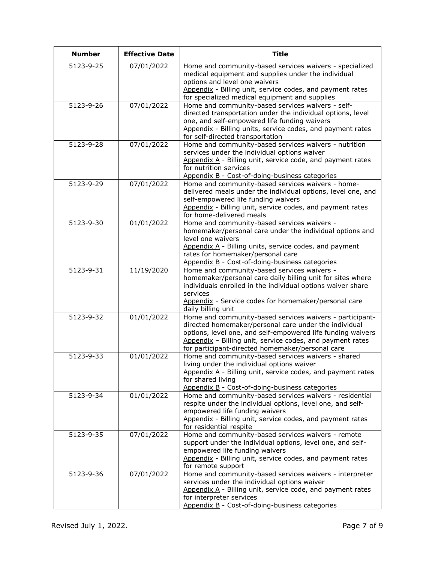| <b>Number</b>   | <b>Effective Date</b> | <b>Title</b>                                                                                                                                                                                                                                                                                      |
|-----------------|-----------------------|---------------------------------------------------------------------------------------------------------------------------------------------------------------------------------------------------------------------------------------------------------------------------------------------------|
| 5123-9-25       | 07/01/2022            | Home and community-based services waivers - specialized<br>medical equipment and supplies under the individual<br>options and level one waivers<br>Appendix - Billing unit, service codes, and payment rates<br>for specialized medical equipment and supplies                                    |
| 5123-9-26       | 07/01/2022            | Home and community-based services waivers - self-<br>directed transportation under the individual options, level<br>one, and self-empowered life funding waivers<br>Appendix - Billing units, service codes, and payment rates<br>for self-directed transportation                                |
| 5123-9-28       | 07/01/2022            | Home and community-based services waivers - nutrition<br>services under the individual options waiver<br>Appendix A - Billing unit, service code, and payment rates<br>for nutrition services<br>Appendix B - Cost-of-doing-business categories                                                   |
| 5123-9-29       | 07/01/2022            | Home and community-based services waivers - home-<br>delivered meals under the individual options, level one, and<br>self-empowered life funding waivers<br>Appendix - Billing unit, service codes, and payment rates<br>for home-delivered meals                                                 |
| 5123-9-30       | 01/01/2022            | Home and community-based services waivers -<br>homemaker/personal care under the individual options and<br>level one waivers<br>Appendix A - Billing units, service codes, and payment<br>rates for homemaker/personal care<br>Appendix B - Cost-of-doing-business categories                     |
| $5123 - 9 - 31$ | 11/19/2020            | Home and community-based services waivers -<br>homemaker/personal care daily billing unit for sites where<br>individuals enrolled in the individual options waiver share<br>services<br>Appendix - Service codes for homemaker/personal care<br>daily billing unit                                |
| 5123-9-32       | 01/01/2022            | Home and community-based services waivers - participant-<br>directed homemaker/personal care under the individual<br>options, level one, and self-empowered life funding waivers<br>Appendix - Billing unit, service codes, and payment rates<br>for participant-directed homemaker/personal care |
| 5123-9-33       | 01/01/2022            | Home and community-based services waivers - shared<br>living under the individual options waiver<br>Appendix A - Billing unit, service codes, and payment rates<br>for shared living<br>Appendix B - Cost-of-doing-business categories                                                            |
| 5123-9-34       | 01/01/2022            | Home and community-based services waivers - residential<br>respite under the individual options, level one, and self-<br>empowered life funding waivers<br>Appendix - Billing unit, service codes, and payment rates<br>for residential respite                                                   |
| 5123-9-35       | 07/01/2022            | Home and community-based services waivers - remote<br>support under the individual options, level one, and self-<br>empowered life funding waivers<br>Appendix - Billing unit, service codes, and payment rates<br>for remote support                                                             |
| 5123-9-36       | 07/01/2022            | Home and community-based services waivers - interpreter<br>services under the individual options waiver<br>Appendix A - Billing unit, service code, and payment rates<br>for interpreter services<br>Appendix B - Cost-of-doing-business categories                                               |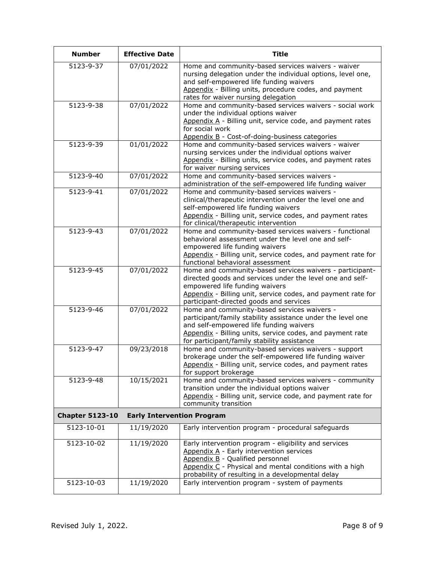| <b>Number</b>              | <b>Effective Date</b>             | <b>Title</b>                                                                                                                                                                                                                                                       |
|----------------------------|-----------------------------------|--------------------------------------------------------------------------------------------------------------------------------------------------------------------------------------------------------------------------------------------------------------------|
| $\overline{5123 - 9 - 37}$ | 07/01/2022                        | Home and community-based services waivers - waiver<br>nursing delegation under the individual options, level one,<br>and self-empowered life funding waivers<br>Appendix - Billing units, procedure codes, and payment<br>rates for waiver nursing delegation      |
| 5123-9-38                  | 07/01/2022                        | Home and community-based services waivers - social work<br>under the individual options waiver<br>Appendix A - Billing unit, service code, and payment rates<br>for social work<br>Appendix B - Cost-of-doing-business categories                                  |
| 5123-9-39                  | 01/01/2022                        | Home and community-based services waivers - waiver<br>nursing services under the individual options waiver<br>Appendix - Billing units, service codes, and payment rates<br>for waiver nursing services                                                            |
| 5123-9-40                  | 07/01/2022                        | Home and community-based services waivers -<br>administration of the self-empowered life funding waiver                                                                                                                                                            |
| 5123-9-41                  | 07/01/2022                        | Home and community-based services waivers -<br>clinical/therapeutic intervention under the level one and<br>self-empowered life funding waivers<br>Appendix - Billing unit, service codes, and payment rates<br>for clinical/therapeutic intervention              |
| 5123-9-43                  | 07/01/2022                        | Home and community-based services waivers - functional<br>behavioral assessment under the level one and self-<br>empowered life funding waivers<br>Appendix - Billing unit, service codes, and payment rate for<br>functional behavioral assessment                |
| 5123-9-45                  | 07/01/2022                        | Home and community-based services waivers - participant-<br>directed goods and services under the level one and self-<br>empowered life funding waivers<br>Appendix - Billing unit, service codes, and payment rate for<br>participant-directed goods and services |
| 5123-9-46                  | 07/01/2022                        | Home and community-based services waivers -<br>participant/family stability assistance under the level one<br>and self-empowered life funding waivers<br>Appendix - Billing units, service codes, and payment rate<br>for participant/family stability assistance  |
| 5123-9-47                  | 09/23/2018                        | Home and community-based services waivers - support<br>brokerage under the self-empowered life funding waiver<br>Appendix - Billing unit, service codes, and payment rates<br>for support brokerage                                                                |
| 5123-9-48                  | 10/15/2021                        | Home and community-based services waivers - community<br>transition under the individual options waiver<br>Appendix - Billing unit, service code, and payment rate for<br>community transition                                                                     |
| <b>Chapter 5123-10</b>     | <b>Early Intervention Program</b> |                                                                                                                                                                                                                                                                    |
| 5123-10-01                 | 11/19/2020                        | Early intervention program - procedural safeguards                                                                                                                                                                                                                 |
| 5123-10-02                 | 11/19/2020                        | Early intervention program - eligibility and services<br>Appendix A - Early intervention services<br>Appendix B - Qualified personnel<br>Appendix C - Physical and mental conditions with a high<br>probability of resulting in a developmental delay              |
| 5123-10-03                 | 11/19/2020                        | Early intervention program - system of payments                                                                                                                                                                                                                    |